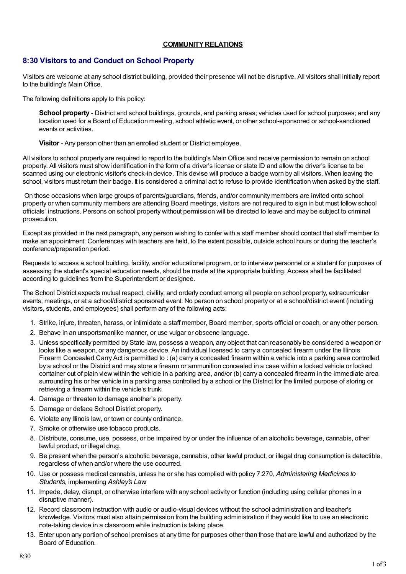## **COMMUNITY RELATIONS**

# **8:30 Visitors to and Conduct on School Property**

Visitors are welcome at any school district building, provided their presence will not be disruptive. All visitors shall initially report to the building's MainOffice.

The following definitions apply to this policy:

**School property** - District and school buildings, grounds, and parking areas; vehicles used for school purposes; and any location used for a Board of Education meeting, school athletic event, or other school-sponsored or school-sanctioned events or activities.

**Visitor** - Any person other than an enrolled student or District employee.

All visitors to school property are required to report to the building's MainOffice and receive permission to remain on school property. All visitors must show identification in the form of a driver's license or state ID and allow the driver's license to be scanned using our electronic visitor's check-in device. This devise will produce a badge worn by all visitors. When leaving the school, visitors must return their badge. It is considered a criminal act to refuse to provide identification when asked by the staff.

On those occasions when large groups of parents/guardians, friends, and/or community members are invited onto school property or when community members are attending Board meetings, visitors are not required to sign in but must follow school officials' instructions. Persons on school property without permission will be directed to leave and may be subject to criminal prosecution.

Except as provided in the next paragraph, any person wishing to confer with a staff member should contact that staff member to make an appointment. Conferences with teachers are held, to the extent possible, outside school hours or during the teacher's conference/preparation period.

Requests to access a school building, facility, and/or educational program, or to interview personnel or a student for purposes of assessing the student's special education needs, should be made at the appropriate building. Access shall be facilitated according to guidelines from the Superintendent or designee.

The School District expects mutual respect, civility, and orderly conduct among all people on school property, extracurricular events, meetings, or at a school/district sponsored event. No person on school property or at a school/district event (including visitors, students, and employees) shall perform any of the following acts:

- 1. Strike, injure, threaten, harass, or intimidate a staff member, Board member, sports official or coach, or any other person.
- 2. Behave in an unsportsmanlike manner, or use vulgar or obscene language.
- 3. Unless specifically permitted by State law, possess a weapon, any object that can reasonably be considered a weapon or looks like a weapon, or any dangerous device. An individual licensed to carry a concealed firearm under the Illinois Firearm Concealed Carry Act is permitted to : (a) carry a concealed firearm within a vehicle into a parking area controlled by a school or the District and may store a firearm or ammunition concealed in a case within a locked vehicle or locked container out of plain view within the vehicle in a parking area, and/or (b) carry a concealed firearm in the immediate area surrounding his or her vehicle in a parking area controlled by a school or the District for the limited purpose of storing or retrieving a firearm within the vehicle's trunk.
- 4. Damage or threaten to damage another's property.
- 5. Damage or deface School District property.
- 6. Violate any Illinois law, or town or county ordinance.
- 7. Smoke or otherwise use tobacco products.
- 8. Distribute, consume, use, possess, or be impaired by or under the influence of an alcoholic beverage, cannabis, other lawful product, or illegal drug.
- 9. Be present when the person's alcoholic beverage, cannabis, other lawful product, or illegal drug consumption is detectible, regardless of when and/or where the use occurred.
- 10. Use or possess medical cannabis, unless he or she has complied with policy 7:270, *Administering Medicines to Students*, implementing *Ashley's Law*.
- 11. Impede, delay, disrupt, or otherwise interfere with any school activity or function (including using cellular phones in a disruptive manner).
- 12. Record classroom instruction with audio or audio-visual devices without the school administration and teacher's knowledge. Visitors must also attain permission from the building administration if they would like to use an electronic note-taking device in a classroom while instruction is taking place.
- 13. Enter upon any portion of school premises at any time for purposes other than those that are lawful and authorized by the Board of Education.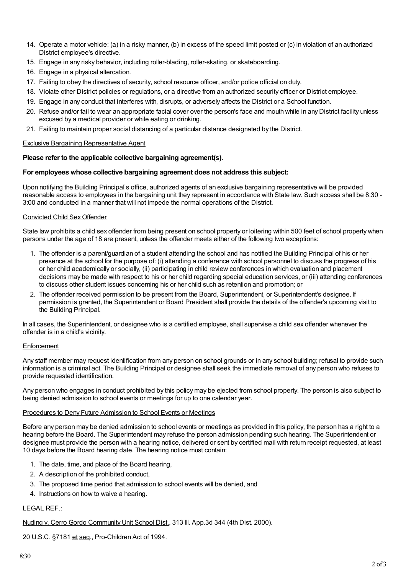- 14. Operate a motor vehicle: (a) in a risky manner, (b) in excess of the speed limit posted or (c) in violation of an authorized District employee's directive.
- 15. Engage in any risky behavior, including roller-blading, roller-skating, or skateboarding.
- 16. Engage in a physical altercation.
- 17. Failing to obey the directives of security, school resource officer, and/or police official on duty.
- 18. Violate other District policies or regulations, or a directive from an authorized security officer or District employee.
- 19. Engage in any conduct that interferes with, disrupts, or adversely affects the District or a School function.
- 20. Refuse and/or fail to wear an appropriate facial cover over the person's face and mouth while in any District facility unless excused by a medical provider or while eating or drinking.
- 21. Failing to maintain proper social distancing of a particular distance designated by the District.

#### Exclusive Bargaining Representative Agent

### **Please refer to the applicable collective bargaining agreement(s).**

#### **For employees whose collective bargaining agreement does not address this subject:**

Upon notifying the Building Principal's office, authorized agents of an exclusive bargaining representative will be provided reasonable access to employees in the bargaining unit they represent in accordance with State law. Such access shall be 8:30 - 3:00 and conducted in a manner that will not impede the normal operations of the District.

#### Convicted Child SexOffender

State law prohibits a child sex offender from being present on school property or loitering within 500 feet of school property when persons under the age of 18 are present, unless the offender meets either of the following two exceptions:

- 1. The offender is a parent/guardian of a student attending the school and has notified the Building Principal of his or her presence at the school for the purpose of: (i) attending a conference with school personnel to discuss the progress of his or her child academically or socially, (ii) participating in child review conferences in which evaluation and placement decisions may be made with respect to his or her child regarding special education services, or (iii) attending conferences to discuss other student issues concerning his or her child such as retention and promotion; or
- 2. The offender received permission to be present from the Board, Superintendent, or Superintendent's designee. If permission is granted, the Superintendent or Board President shall provide the details of the offender's upcoming visit to the Building Principal.

In all cases, the Superintendent, or designee who is a certified employee, shall supervise a child sex offender whenever the offender is in a child's vicinity.

#### **Enforcement**

Any staff member may request identification from any person on school grounds or in any school building; refusal to provide such information is a criminal act. The Building Principal or designee shall seek the immediate removal of any person who refuses to provide requested identification.

Any person who engages in conduct prohibited by this policy may be ejected from school property. The person is also subject to being denied admission to school events or meetings for up to one calendar year.

#### Procedures to Deny Future Admission to School Events or Meetings

Before any person may be denied admission to school events or meetings as provided in this policy, the person has a right to a hearing before the Board. The Superintendent may refuse the person admission pending such hearing. The Superintendent or designee must provide the person with a hearing notice, delivered or sent by certified mail with return receipt requested, at least 10 days before the Board hearing date. The hearing notice must contain:

- 1. The date, time, and place of the Board hearing,
- 2. A description of the prohibited conduct,
- 3. The proposed time period that admission to school events will be denied, and
- 4. Instructions on how to waive a hearing.

#### LEGAL REF.:

Nuding v. Cerro Gordo Community Unit School Dist., 313 Ill. App.3d 344 (4th Dist. 2000).

20 U.S.C. §7181 et seq., Pro-Children Act of 1994.